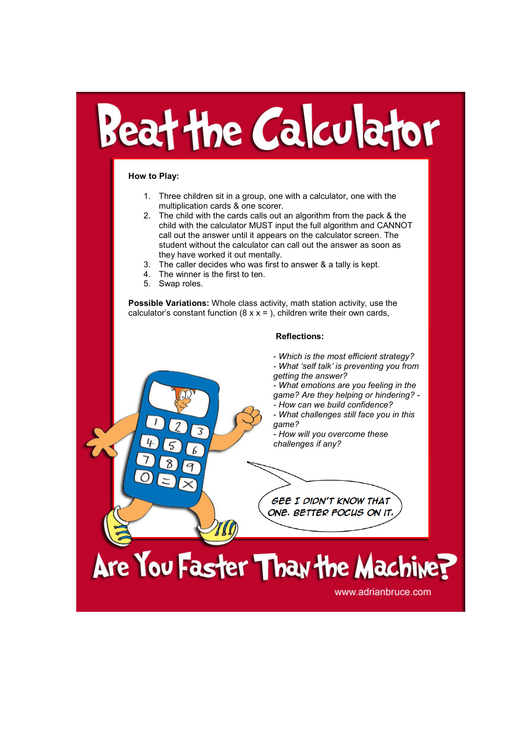## Beat the Calculator

## How to Play:

- 1. Three children sit in a group, one with a calculator, one with the multiplication cards & one scorer.
- 2. The child with the cards calls out an algorithm from the pack & the child with the calculator MUST input the full algorithm and CANNOT call out the answer until it appears on the calculator screen. The student without the calculator can call out the answer as soon as they have worked it out mentally.
- 3. The caller decides who was first to answer & a tally is kept.<br>4. The winner is the first to ten.
- The winner is the first to ten.
- 5. Swap roles.

Possible Variations: Whole class activity, math station activity, use the calculator's constant function ( $8 \times x =$ ), children write their own cards,

## Reflections:

- Which is the most efficient strategy?
- What 'self talk' is preventing you from getting the answer?
- What emotions are you feeling in the game? Are they helping or hindering? -
- How can we build confidence?
- What challenges still face you in this game?
- How will you overcome these challenges if any?

**GEE I DIDN'T KNOW THAT** 

ONE, BETTER FOCUS ON IT.

Are You Faster Than the Machine?

www.adrianbruce.com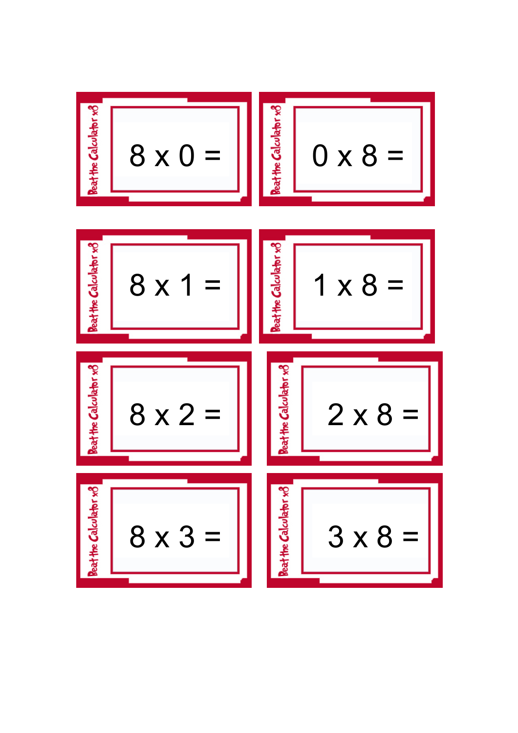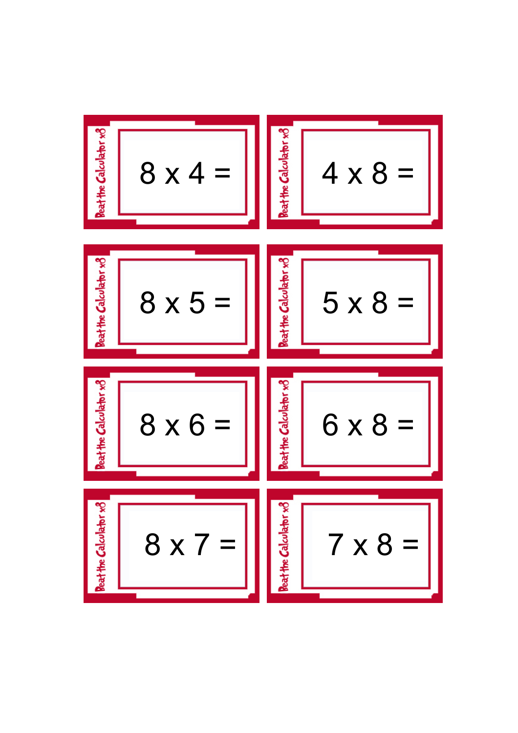